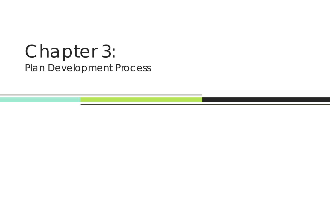# Chapter 3: Plan Development Process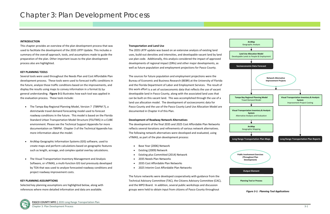#### **INTRODUCTION**

This chapter provides an overview of the plan development process that was used to facilitate the development of the 2035 LRTP Update. This includes <sup>a</sup> summary of the overall approach, tools, and assumptions made to guide the preparation of the plan. Other important issues to the plan development process also are highlighted.

#### **KEY PLANNING TOOLS**

Several tools were used throughout the Needs Plan and Cost Affordable Plan development process. These tools were used to forecast traffic conditions in the future, analyze those traffic conditions based on the improvements, and display the results using maps to convey information in <sup>a</sup> format fit for general understanding. **Figure 3‐1** illustrates how each tool was applied in the evaluation process. These tools include:

- The Tampa Bay Regional Planning Model, Version 7 (TBRPM 7), <sup>a</sup> districtwide travel demand forecasting model used to forecast roadway conditions in the future. This model is based on the Florida Standard Urban Transportation Model Structure (FSUTMS) in <sup>a</sup> CUBE environment. Please see the Technical Support Appendix for more documentation on TBRPM . Chapter 3 of the Technical Appendix has more information about the model.
- $\bullet$  ArcMap Geographic Information Systems (GIS) software, used to create maps and perform calculations based on geographic features such as length, acreage, and complex spatial overlay calculations.
- The Visual Transportation Inventory Management and Analysis Software, or vTIMAS, <sup>a</sup> multi‐function GIS tool previously developed by TOA that was used to analyze forecasted roadway conditions and project roadway improvement costs.
- $\bullet$ Base Year (2006) Network
- $\bullet$ Existing (2009) Network
- $\bullet$ Existing plus Committed (2014) Network
- $\bullet$ 2035 Needs Plan Networks
- $\bullet$ 2035 Cost Affordable Plan Networks
- $\bullet$ 2025 Interim Cost Affordable Plan Networks

#### **KEY PLANNING ASSUMPTIONS**

Selected key planning assumptions are highlighted below, along with references where more detailed information and data are available.

### **Transportation and Land Use**

The 2035 LRTP update was based on an extensive analysis of existing land uses, build‐out densities and intensities, and developable vacant land by land use plan code. Additionally, this analysis considered the impact of approved developments of regional impact (DRIs) and other major developments, as well as future population and employment projections for Pasco County.

The sources for future population and employment projections were the Bureau of Economic and Business Research (BEBR) at the University of Florida and the Florida Department of Labor and Employment Services. The result of this work effort is <sup>a</sup> set of socioeconomic data that reflects the use of vacant developable land in Pasco County, along with the associated land uses that can be built on this vacant land. This was accomplished through the use of <sup>a</sup> land use allocation model. The development of socioeconomic data for Pasco County and the use of the Pasco County Land Use Allocation Model are documented in Chapter 4 of this Plan.

#### **Development of Roadway Network Alternatives**

The development of the final 2035 and 2025 Cost Affordable Plan Networks reflects several iterations and refinements of various network alternatives. The following network alternatives were developed and evaluated, using vTIMAS, as part of the plan development process:

The future networks were developed cooperatively with guidance from the Technical Advisory Committee (TAC), the Citizens Advisory Committee (CAC), and the MPO Board. In addition, several public workshops and discussion groups were held to obtain input from citizens of Pasco County throughout *Figure*



*3‐1: Planning Tool Applications*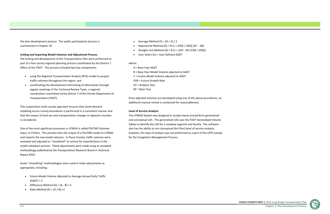**PASCO COUNTY MPO |** 2035 Long Range Transportation Plan Chapter 3: Plan Development Process



the plan development process. The public participation process is summarized in Chapter 10.

#### **Linking and Importing Model Volumes and Adjustment Process**

The testing and development of the Transportation Plan were performed as part of a five-county regional planning process coordinated by the District 7 Office of the FDOT. This process included two key components:

- using the Regional Transportation Analysis (RTA) model to project traffic volumes throughout the region, and
- $\bullet$  coordinating the development and testing of alternatives through regular meetings of the Technical Review Team, <sup>a</sup> regional coordination committee led by District 7 of the Florida Department of Transportation (FDOT).

This cooperative multi‐county approach ensures that travel demand modeling across county boundaries is performed in <sup>a</sup> consistent manner and that the impact of land use and transportation changes in adjacent counties is considered.

- $\bullet$ Average Method  $(F) = (D + E)/2$
- $\bullet$ Exponential Method (G) =  $B [1 + (FGR / 100)] (AY - AB)$
- $\bullet$ Straight Line Method (H) = B  $[1 + ((AY - BY) (FGR / 100))]$
- $\bullet$ User Select (U) <sup>=</sup> User Defined AADT

One of the most significant processes in vTIMAS is called FSUTMS Volumes Input, or FVolsIn. This process links the output of <sup>a</sup> FSUTMS model to vTIMAS and imports the raw model volumes. In Pasco County, traffic volumes were reviewed and adjusted or "smoothed" to correct for imperfections in the model validation process. These adjustments were made using an accepted methodology published by the Transportation Research Board in Technical Report #255.

Seven "smoothing" methodologies were used to make adjustments as appropriate, including:

- Future Model Volume Adjusted to Average Annual Daily Traffic  $(AADT) = C$
- $\bullet$ Difference Method (D) <sup>=</sup> (A ‐ B) <sup>+</sup> C
- $\bullet$ Ratio Method (E) <sup>=</sup> (A / B) <sup>x</sup> C

#### where:

- A <sup>=</sup> Base Year AADT
- B <sup>=</sup> Base Year Model Volume adjusted to AADT C <sup>=</sup> Future Model Volume adjusted to AADT FGR <sup>=</sup> Future Growth Rate AY <sup>=</sup> Analysis Year BY <sup>=</sup> Base Year

Once adjusted volumes are developed using one of the above procedures, an additional manual review is conducted for reasonableness.

#### **Level of Service Analysis**

The vTIMAS System was designed to accept inputs and perform generalized and conceptual LOS. The generalized LOS uses the FDOT Generalized Volume Tables to identify the LOS for <sup>a</sup> roadway segment and facility. The software also has the ability to run conceptual (Art‐Plan) level of service analysis; however, this type of analysis was not performed as <sup>a</sup> part of this LRTP, except for the Congestion Management Process.